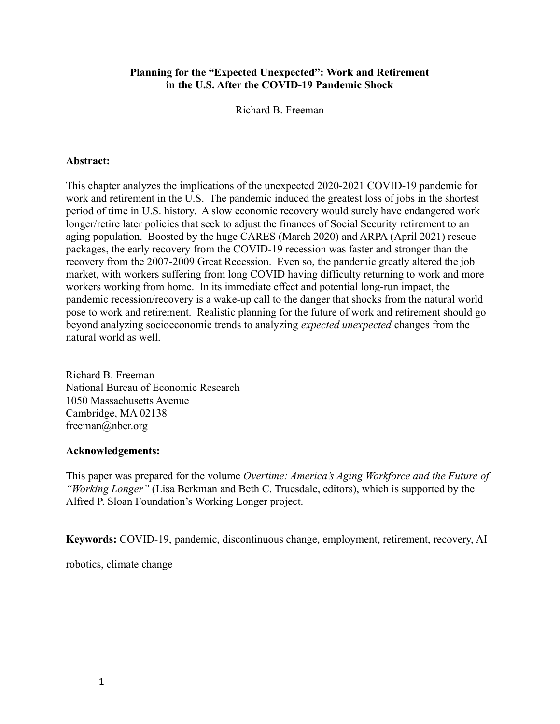# Planning for the "Expected Unexpected": Work and Retirement in the U.S. After the COVID-19 Pandemic Shock

Richard B. Freeman

# Abstract:

This chapter analyzes the implications of the unexpected 2020-2021 COVID-19 pandemic for work and retirement in the U.S. The pandemic induced the greatest loss of jobs in the shortest period of time in U.S. history. A slow economic recovery would surely have endangered work longer/retire later policies that seek to adjust the finances of Social Security retirement to an aging population. Boosted by the huge CARES (March 2020) and ARPA (April 2021) rescue packages, the early recovery from the COVID-19 recession was faster and stronger than the recovery from the 2007-2009 Great Recession. Even so, the pandemic greatly altered the job market, with workers suffering from long COVID having difficulty returning to work and more workers working from home. In its immediate effect and potential long-run impact, the pandemic recession/recovery is a wake-up call to the danger that shocks from the natural world pose to work and retirement. Realistic planning for the future of work and retirement should go beyond analyzing socioeconomic trends to analyzing expected unexpected changes from the natural world as well.

Richard B. Freeman National Bureau of Economic Research 1050 Massachusetts Avenue Cambridge, MA 02138 freeman@nber.org

## Acknowledgements:

This paper was prepared for the volume Overtime: America's Aging Workforce and the Future of "Working Longer" (Lisa Berkman and Beth C. Truesdale, editors), which is supported by the Alfred P. Sloan Foundation's Working Longer project.

Keywords: COVID-19, pandemic, discontinuous change, employment, retirement, recovery, AI

robotics, climate change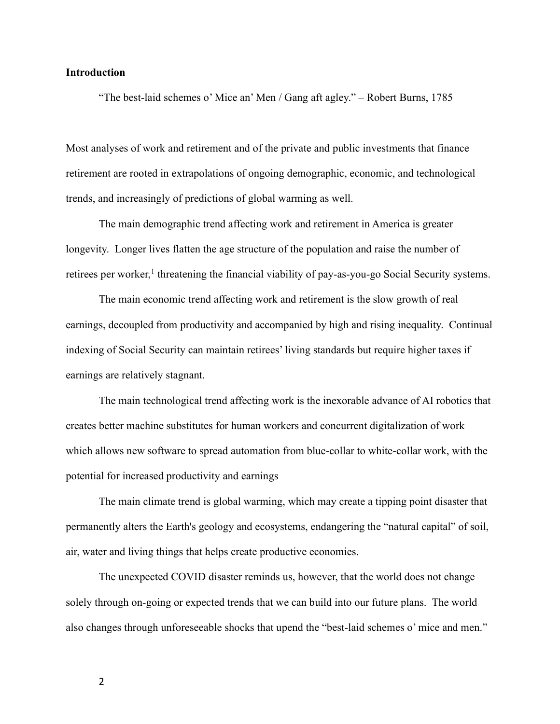## Introduction

"The best-laid schemes o' Mice an' Men / Gang aft agley." – Robert Burns, 1785

Most analyses of work and retirement and of the private and public investments that finance retirement are rooted in extrapolations of ongoing demographic, economic, and technological trends, and increasingly of predictions of global warming as well.

The main demographic trend affecting work and retirement in America is greater longevity. Longer lives flatten the age structure of the population and raise the number of retirees per worker,<sup>1</sup> threatening the financial viability of pay-as-you-go Social Security systems.

The main economic trend affecting work and retirement is the slow growth of real earnings, decoupled from productivity and accompanied by high and rising inequality. Continual indexing of Social Security can maintain retirees' living standards but require higher taxes if earnings are relatively stagnant.

The main technological trend affecting work is the inexorable advance of AI robotics that creates better machine substitutes for human workers and concurrent digitalization of work which allows new software to spread automation from blue-collar to white-collar work, with the potential for increased productivity and earnings

The main climate trend is global warming, which may create a tipping point disaster that permanently alters the Earth's geology and ecosystems, endangering the "natural capital" of soil, air, water and living things that helps create productive economies.

The unexpected COVID disaster reminds us, however, that the world does not change solely through on-going or expected trends that we can build into our future plans. The world also changes through unforeseeable shocks that upend the "best-laid schemes o' mice and men."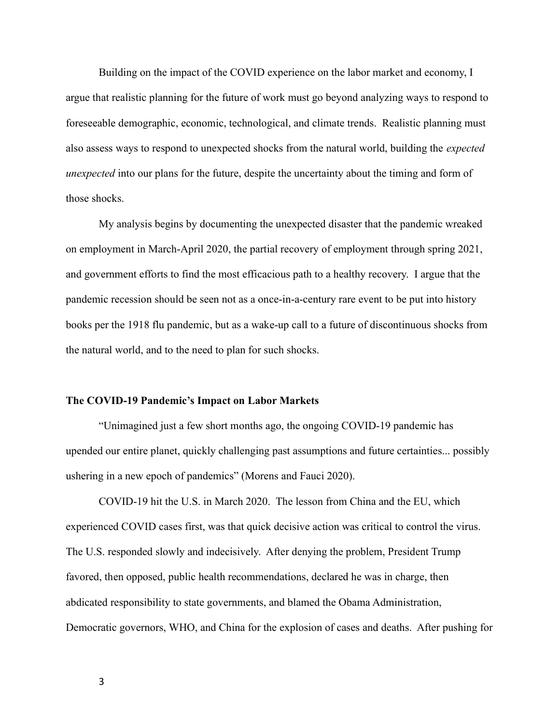Building on the impact of the COVID experience on the labor market and economy, I argue that realistic planning for the future of work must go beyond analyzing ways to respond to foreseeable demographic, economic, technological, and climate trends. Realistic planning must also assess ways to respond to unexpected shocks from the natural world, building the expected unexpected into our plans for the future, despite the uncertainty about the timing and form of those shocks.

My analysis begins by documenting the unexpected disaster that the pandemic wreaked on employment in March-April 2020, the partial recovery of employment through spring 2021, and government efforts to find the most efficacious path to a healthy recovery. I argue that the pandemic recession should be seen not as a once-in-a-century rare event to be put into history books per the 1918 flu pandemic, but as a wake-up call to a future of discontinuous shocks from the natural world, and to the need to plan for such shocks.

#### The COVID-19 Pandemic's Impact on Labor Markets

"Unimagined just a few short months ago, the ongoing COVID-19 pandemic has upended our entire planet, quickly challenging past assumptions and future certainties... possibly ushering in a new epoch of pandemics" (Morens and Fauci 2020).

COVID-19 hit the U.S. in March 2020. The lesson from China and the EU, which experienced COVID cases first, was that quick decisive action was critical to control the virus. The U.S. responded slowly and indecisively. After denying the problem, President Trump favored, then opposed, public health recommendations, declared he was in charge, then abdicated responsibility to state governments, and blamed the Obama Administration, Democratic governors, WHO, and China for the explosion of cases and deaths. After pushing for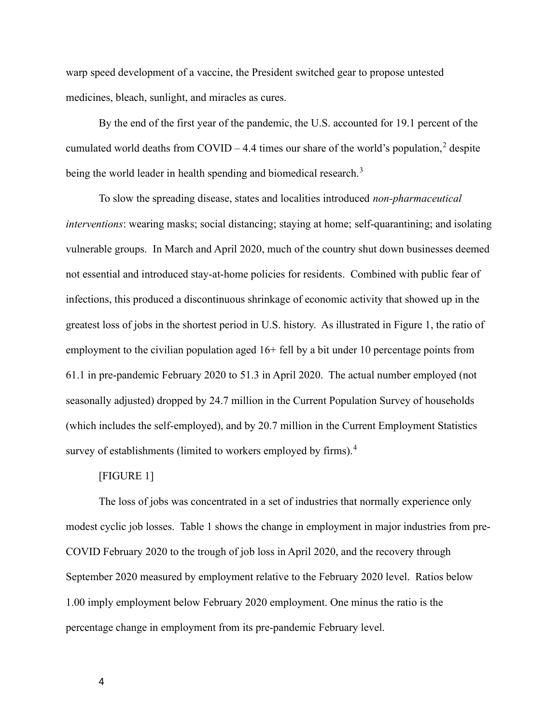warp speed development of a vaccine, the President switched gear to propose untested medicines, bleach, sunlight, and miracles as cures.

By the end of the first year of the pandemic, the U.S. accounted for 19.1 percent of the cumulated world deaths from COVID – 4.4 times our share of the world's population,<sup>2</sup> despite being the world leader in health spending and biomedical research.<sup>3</sup>

To slow the spreading disease, states and localities introduced non-pharmaceutical interventions: wearing masks; social distancing; staying at home; self-quarantining; and isolating vulnerable groups. In March and April 2020, much of the country shut down businesses deemed not essential and introduced stay-at-home policies for residents. Combined with public fear of infections, this produced a discontinuous shrinkage of economic activity that showed up in the greatest loss of jobs in the shortest period in U.S. history. As illustrated in Figure 1, the ratio of employment to the civilian population aged 16+ fell by a bit under 10 percentage points from 61.1 in pre-pandemic February 2020 to 51.3 in April 2020. The actual number employed (not seasonally adjusted) dropped by 24.7 million in the Current Population Survey of households (which includes the self-employed), and by 20.7 million in the Current Employment Statistics survey of establishments (limited to workers employed by firms).<sup>4</sup>

# [FIGURE 1]

The loss of jobs was concentrated in a set of industries that normally experience only modest cyclic job losses. Table 1 shows the change in employment in major industries from pre-COVID February 2020 to the trough of job loss in April 2020, and the recovery through September 2020 measured by employment relative to the February 2020 level. Ratios below 1.00 imply employment below February 2020 employment. One minus the ratio is the percentage change in employment from its pre-pandemic February level.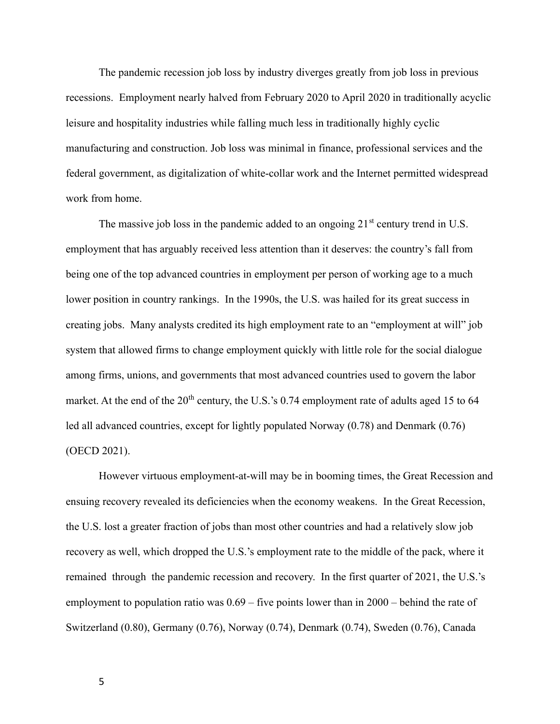The pandemic recession job loss by industry diverges greatly from job loss in previous recessions. Employment nearly halved from February 2020 to April 2020 in traditionally acyclic leisure and hospitality industries while falling much less in traditionally highly cyclic manufacturing and construction. Job loss was minimal in finance, professional services and the federal government, as digitalization of white-collar work and the Internet permitted widespread work from home.

The massive job loss in the pandemic added to an ongoing  $21<sup>st</sup>$  century trend in U.S. employment that has arguably received less attention than it deserves: the country's fall from being one of the top advanced countries in employment per person of working age to a much lower position in country rankings. In the 1990s, the U.S. was hailed for its great success in creating jobs. Many analysts credited its high employment rate to an "employment at will" job system that allowed firms to change employment quickly with little role for the social dialogue among firms, unions, and governments that most advanced countries used to govern the labor market. At the end of the  $20<sup>th</sup>$  century, the U.S.'s 0.74 employment rate of adults aged 15 to 64 led all advanced countries, except for lightly populated Norway (0.78) and Denmark (0.76) (OECD 2021).

However virtuous employment-at-will may be in booming times, the Great Recession and ensuing recovery revealed its deficiencies when the economy weakens. In the Great Recession, the U.S. lost a greater fraction of jobs than most other countries and had a relatively slow job recovery as well, which dropped the U.S.'s employment rate to the middle of the pack, where it remained through the pandemic recession and recovery. In the first quarter of 2021, the U.S.'s employment to population ratio was 0.69 – five points lower than in 2000 – behind the rate of Switzerland (0.80), Germany (0.76), Norway (0.74), Denmark (0.74), Sweden (0.76), Canada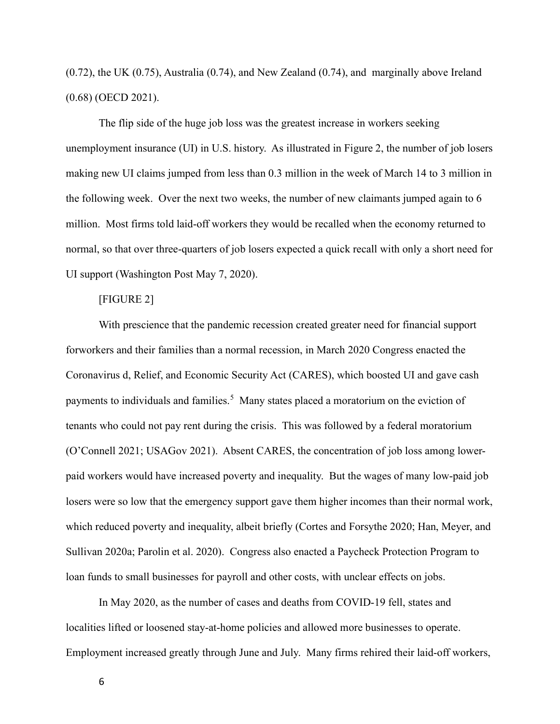(0.72), the UK (0.75), Australia (0.74), and New Zealand (0.74), and marginally above Ireland (0.68) (OECD 2021).

The flip side of the huge job loss was the greatest increase in workers seeking unemployment insurance (UI) in U.S. history. As illustrated in Figure 2, the number of job losers making new UI claims jumped from less than 0.3 million in the week of March 14 to 3 million in the following week. Over the next two weeks, the number of new claimants jumped again to 6 million. Most firms told laid-off workers they would be recalled when the economy returned to normal, so that over three-quarters of job losers expected a quick recall with only a short need for UI support (Washington Post May 7, 2020).

## [FIGURE 2]

With prescience that the pandemic recession created greater need for financial support forworkers and their families than a normal recession, in March 2020 Congress enacted the Coronavirus d, Relief, and Economic Security Act (CARES), which boosted UI and gave cash payments to individuals and families.<sup>5</sup> Many states placed a moratorium on the eviction of tenants who could not pay rent during the crisis. This was followed by a federal moratorium (O'Connell 2021; USAGov 2021). Absent CARES, the concentration of job loss among lowerpaid workers would have increased poverty and inequality. But the wages of many low-paid job losers were so low that the emergency support gave them higher incomes than their normal work, which reduced poverty and inequality, albeit briefly (Cortes and Forsythe 2020; Han, Meyer, and Sullivan 2020a; Parolin et al. 2020). Congress also enacted a Paycheck Protection Program to loan funds to small businesses for payroll and other costs, with unclear effects on jobs.

In May 2020, as the number of cases and deaths from COVID-19 fell, states and localities lifted or loosened stay-at-home policies and allowed more businesses to operate. Employment increased greatly through June and July. Many firms rehired their laid-off workers,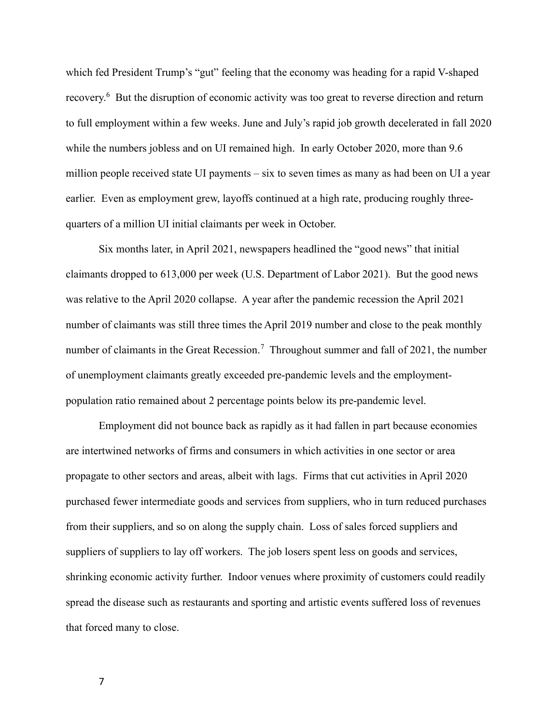which fed President Trump's "gut" feeling that the economy was heading for a rapid V-shaped recovery.<sup>6</sup> But the disruption of economic activity was too great to reverse direction and return to full employment within a few weeks. June and July's rapid job growth decelerated in fall 2020 while the numbers jobless and on UI remained high. In early October 2020, more than 9.6 million people received state UI payments – six to seven times as many as had been on UI a year earlier. Even as employment grew, layoffs continued at a high rate, producing roughly threequarters of a million UI initial claimants per week in October.

Six months later, in April 2021, newspapers headlined the "good news" that initial claimants dropped to 613,000 per week (U.S. Department of Labor 2021). But the good news was relative to the April 2020 collapse. A year after the pandemic recession the April 2021 number of claimants was still three times the April 2019 number and close to the peak monthly number of claimants in the Great Recession.<sup>7</sup> Throughout summer and fall of 2021, the number of unemployment claimants greatly exceeded pre-pandemic levels and the employmentpopulation ratio remained about 2 percentage points below its pre-pandemic level.

Employment did not bounce back as rapidly as it had fallen in part because economies are intertwined networks of firms and consumers in which activities in one sector or area propagate to other sectors and areas, albeit with lags. Firms that cut activities in April 2020 purchased fewer intermediate goods and services from suppliers, who in turn reduced purchases from their suppliers, and so on along the supply chain. Loss of sales forced suppliers and suppliers of suppliers to lay off workers. The job losers spent less on goods and services, shrinking economic activity further. Indoor venues where proximity of customers could readily spread the disease such as restaurants and sporting and artistic events suffered loss of revenues that forced many to close.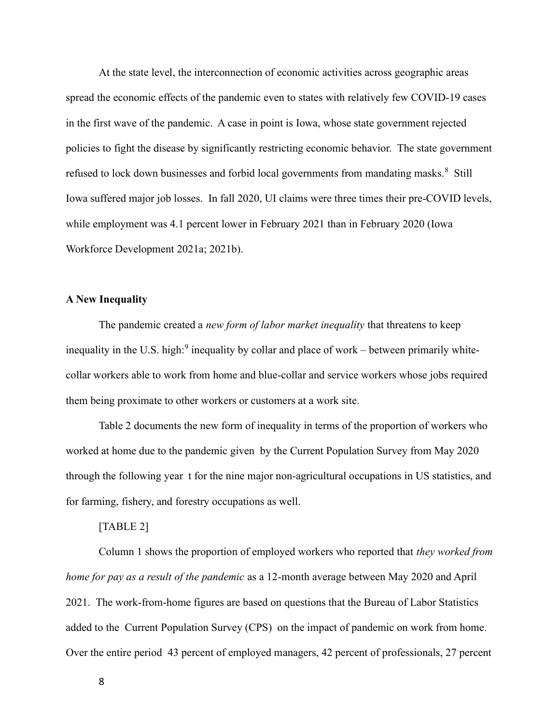At the state level, the interconnection of economic activities across geographic areas spread the economic effects of the pandemic even to states with relatively few COVID-19 cases in the first wave of the pandemic. A case in point is Iowa, whose state government rejected policies to fight the disease by significantly restricting economic behavior. The state government refused to lock down businesses and forbid local governments from mandating masks.<sup>8</sup> Still Iowa suffered major job losses. In fall 2020, UI claims were three times their pre-COVID levels, while employment was 4.1 percent lower in February 2021 than in February 2020 (Iowa Workforce Development 2021a; 2021b).

## A New Inequality

The pandemic created a *new form of labor market inequality* that threatens to keep inequality in the U.S. high:<sup>9</sup> inequality by collar and place of work – between primarily whitecollar workers able to work from home and blue-collar and service workers whose jobs required them being proximate to other workers or customers at a work site.

Table 2 documents the new form of inequality in terms of the proportion of workers who worked at home due to the pandemic given by the Current Population Survey from May 2020 through the following year t for the nine major non-agricultural occupations in US statistics, and for farming, fishery, and forestry occupations as well.

#### [TABLE 2]

Column 1 shows the proportion of employed workers who reported that they worked from home for pay as a result of the pandemic as a 12-month average between May 2020 and April 2021. The work-from-home figures are based on questions that the Bureau of Labor Statistics added to the Current Population Survey (CPS) on the impact of pandemic on work from home. Over the entire period 43 percent of employed managers, 42 percent of professionals, 27 percent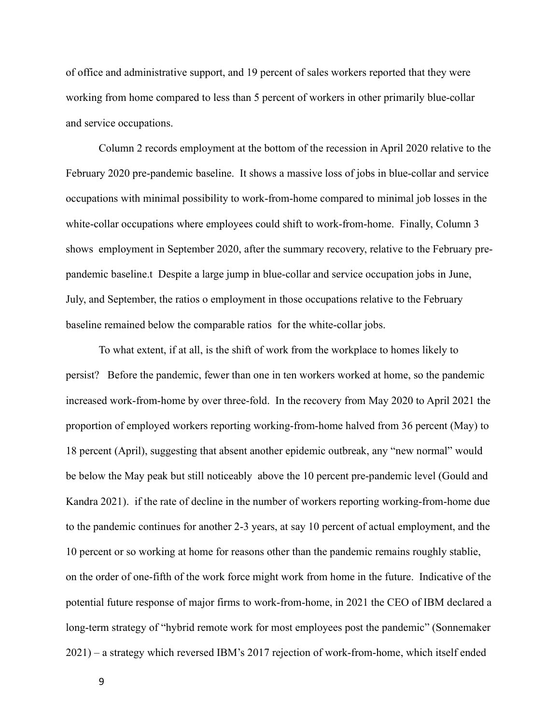of office and administrative support, and 19 percent of sales workers reported that they were working from home compared to less than 5 percent of workers in other primarily blue-collar and service occupations.

Column 2 records employment at the bottom of the recession in April 2020 relative to the February 2020 pre-pandemic baseline. It shows a massive loss of jobs in blue-collar and service occupations with minimal possibility to work-from-home compared to minimal job losses in the white-collar occupations where employees could shift to work-from-home. Finally, Column 3 shows employment in September 2020, after the summary recovery, relative to the February prepandemic baseline.t Despite a large jump in blue-collar and service occupation jobs in June, July, and September, the ratios o employment in those occupations relative to the February baseline remained below the comparable ratios for the white-collar jobs.

To what extent, if at all, is the shift of work from the workplace to homes likely to persist? Before the pandemic, fewer than one in ten workers worked at home, so the pandemic increased work-from-home by over three-fold. In the recovery from May 2020 to April 2021 the proportion of employed workers reporting working-from-home halved from 36 percent (May) to 18 percent (April), suggesting that absent another epidemic outbreak, any "new normal" would be below the May peak but still noticeably above the 10 percent pre-pandemic level (Gould and Kandra 2021). if the rate of decline in the number of workers reporting working-from-home due to the pandemic continues for another 2-3 years, at say 10 percent of actual employment, and the 10 percent or so working at home for reasons other than the pandemic remains roughly stablie, on the order of one-fifth of the work force might work from home in the future. Indicative of the potential future response of major firms to work-from-home, in 2021 the CEO of IBM declared a long-term strategy of "hybrid remote work for most employees post the pandemic" (Sonnemaker 2021) – a strategy which reversed IBM's 2017 rejection of work-from-home, which itself ended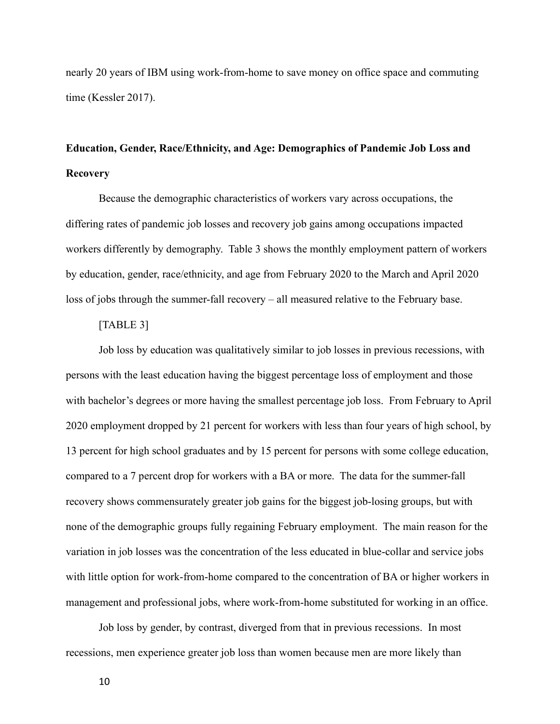nearly 20 years of IBM using work-from-home to save money on office space and commuting time (Kessler 2017).

# Education, Gender, Race/Ethnicity, and Age: Demographics of Pandemic Job Loss and Recovery

Because the demographic characteristics of workers vary across occupations, the differing rates of pandemic job losses and recovery job gains among occupations impacted workers differently by demography. Table 3 shows the monthly employment pattern of workers by education, gender, race/ethnicity, and age from February 2020 to the March and April 2020 loss of jobs through the summer-fall recovery – all measured relative to the February base.

## [TABLE 3]

Job loss by education was qualitatively similar to job losses in previous recessions, with persons with the least education having the biggest percentage loss of employment and those with bachelor's degrees or more having the smallest percentage job loss. From February to April 2020 employment dropped by 21 percent for workers with less than four years of high school, by 13 percent for high school graduates and by 15 percent for persons with some college education, compared to a 7 percent drop for workers with a BA or more. The data for the summer-fall recovery shows commensurately greater job gains for the biggest job-losing groups, but with none of the demographic groups fully regaining February employment. The main reason for the variation in job losses was the concentration of the less educated in blue-collar and service jobs with little option for work-from-home compared to the concentration of BA or higher workers in management and professional jobs, where work-from-home substituted for working in an office.

Job loss by gender, by contrast, diverged from that in previous recessions. In most recessions, men experience greater job loss than women because men are more likely than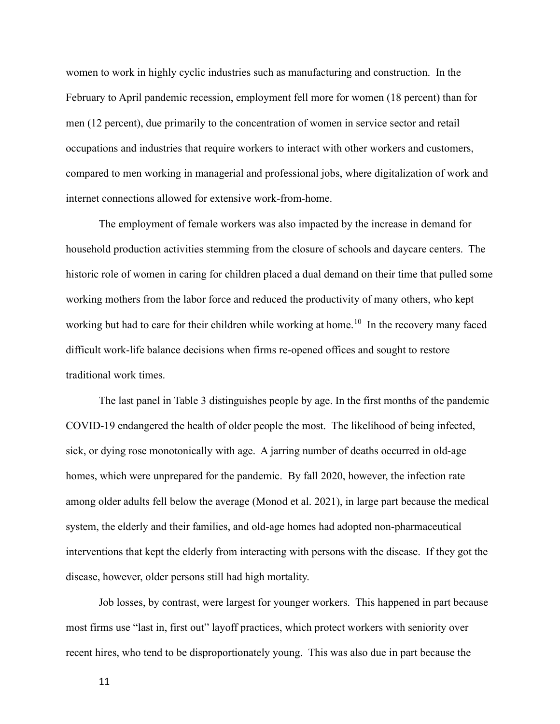women to work in highly cyclic industries such as manufacturing and construction. In the February to April pandemic recession, employment fell more for women (18 percent) than for men (12 percent), due primarily to the concentration of women in service sector and retail occupations and industries that require workers to interact with other workers and customers, compared to men working in managerial and professional jobs, where digitalization of work and internet connections allowed for extensive work-from-home.

The employment of female workers was also impacted by the increase in demand for household production activities stemming from the closure of schools and daycare centers. The historic role of women in caring for children placed a dual demand on their time that pulled some working mothers from the labor force and reduced the productivity of many others, who kept working but had to care for their children while working at home.<sup>10</sup> In the recovery many faced difficult work-life balance decisions when firms re-opened offices and sought to restore traditional work times.

The last panel in Table 3 distinguishes people by age. In the first months of the pandemic COVID-19 endangered the health of older people the most. The likelihood of being infected, sick, or dying rose monotonically with age. A jarring number of deaths occurred in old-age homes, which were unprepared for the pandemic. By fall 2020, however, the infection rate among older adults fell below the average (Monod et al. 2021), in large part because the medical system, the elderly and their families, and old-age homes had adopted non-pharmaceutical interventions that kept the elderly from interacting with persons with the disease. If they got the disease, however, older persons still had high mortality.

Job losses, by contrast, were largest for younger workers. This happened in part because most firms use "last in, first out" layoff practices, which protect workers with seniority over recent hires, who tend to be disproportionately young. This was also due in part because the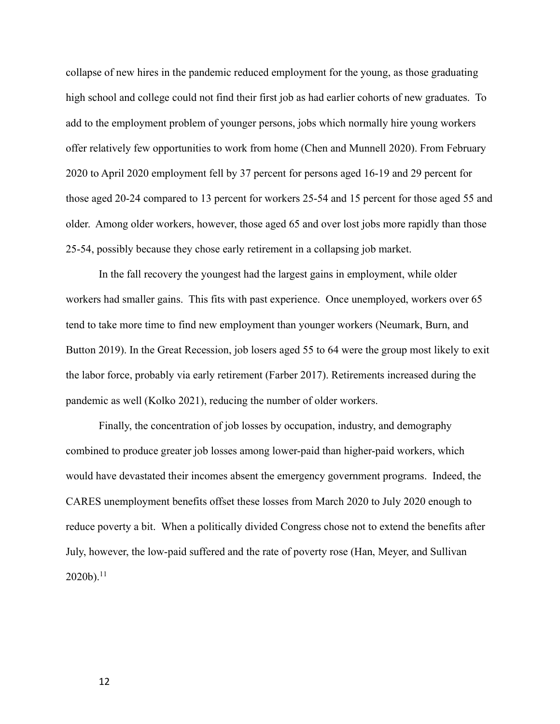collapse of new hires in the pandemic reduced employment for the young, as those graduating high school and college could not find their first job as had earlier cohorts of new graduates. To add to the employment problem of younger persons, jobs which normally hire young workers offer relatively few opportunities to work from home (Chen and Munnell 2020). From February 2020 to April 2020 employment fell by 37 percent for persons aged 16-19 and 29 percent for those aged 20-24 compared to 13 percent for workers 25-54 and 15 percent for those aged 55 and older. Among older workers, however, those aged 65 and over lost jobs more rapidly than those 25-54, possibly because they chose early retirement in a collapsing job market.

In the fall recovery the youngest had the largest gains in employment, while older workers had smaller gains. This fits with past experience. Once unemployed, workers over 65 tend to take more time to find new employment than younger workers (Neumark, Burn, and Button 2019). In the Great Recession, job losers aged 55 to 64 were the group most likely to exit the labor force, probably via early retirement (Farber 2017). Retirements increased during the pandemic as well (Kolko 2021), reducing the number of older workers.

Finally, the concentration of job losses by occupation, industry, and demography combined to produce greater job losses among lower-paid than higher-paid workers, which would have devastated their incomes absent the emergency government programs. Indeed, the CARES unemployment benefits offset these losses from March 2020 to July 2020 enough to reduce poverty a bit. When a politically divided Congress chose not to extend the benefits after July, however, the low-paid suffered and the rate of poverty rose (Han, Meyer, and Sullivan  $2020<sub>b</sub>$ .<sup>11</sup>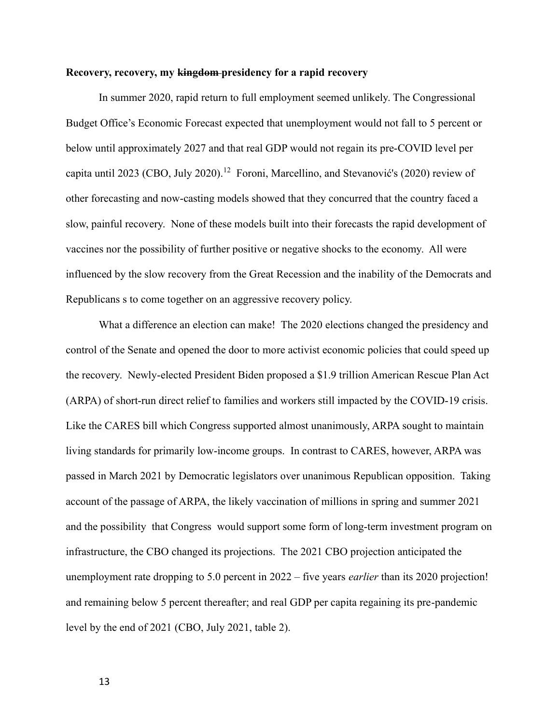## Recovery, recovery, my kingdom-presidency for a rapid recovery

In summer 2020, rapid return to full employment seemed unlikely. The Congressional Budget Office's Economic Forecast expected that unemployment would not fall to 5 percent or below until approximately 2027 and that real GDP would not regain its pre-COVID level per capita until 2023 (CBO, July 2020).<sup>12</sup> Foroni, Marcellino, and Stevanović's (2020) review of other forecasting and now-casting models showed that they concurred that the country faced a slow, painful recovery. None of these models built into their forecasts the rapid development of vaccines nor the possibility of further positive or negative shocks to the economy. All were influenced by the slow recovery from the Great Recession and the inability of the Democrats and Republicans s to come together on an aggressive recovery policy.

What a difference an election can make! The 2020 elections changed the presidency and control of the Senate and opened the door to more activist economic policies that could speed up the recovery. Newly-elected President Biden proposed a \$1.9 trillion American Rescue Plan Act (ARPA) of short-run direct relief to families and workers still impacted by the COVID-19 crisis. Like the CARES bill which Congress supported almost unanimously, ARPA sought to maintain living standards for primarily low-income groups. In contrast to CARES, however, ARPA was passed in March 2021 by Democratic legislators over unanimous Republican opposition. Taking account of the passage of ARPA, the likely vaccination of millions in spring and summer 2021 and the possibility that Congress would support some form of long-term investment program on infrastructure, the CBO changed its projections. The 2021 CBO projection anticipated the unemployment rate dropping to 5.0 percent in  $2022 -$  five years *earlier* than its 2020 projection! and remaining below 5 percent thereafter; and real GDP per capita regaining its pre-pandemic level by the end of 2021 (CBO, July 2021, table 2).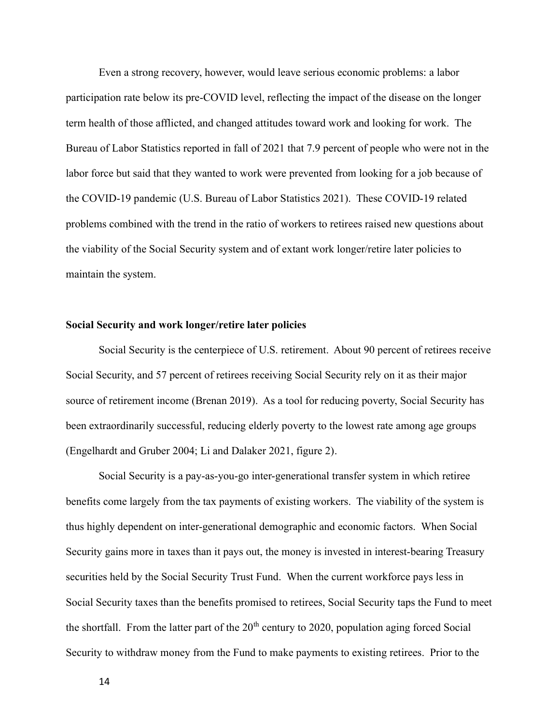Even a strong recovery, however, would leave serious economic problems: a labor participation rate below its pre-COVID level, reflecting the impact of the disease on the longer term health of those afflicted, and changed attitudes toward work and looking for work. The Bureau of Labor Statistics reported in fall of 2021 that 7.9 percent of people who were not in the labor force but said that they wanted to work were prevented from looking for a job because of the COVID-19 pandemic (U.S. Bureau of Labor Statistics 2021). These COVID-19 related problems combined with the trend in the ratio of workers to retirees raised new questions about the viability of the Social Security system and of extant work longer/retire later policies to maintain the system.

## Social Security and work longer/retire later policies

Social Security is the centerpiece of U.S. retirement. About 90 percent of retirees receive Social Security, and 57 percent of retirees receiving Social Security rely on it as their major source of retirement income (Brenan 2019). As a tool for reducing poverty, Social Security has been extraordinarily successful, reducing elderly poverty to the lowest rate among age groups (Engelhardt and Gruber 2004; Li and Dalaker 2021, figure 2).

Social Security is a pay-as-you-go inter-generational transfer system in which retiree benefits come largely from the tax payments of existing workers. The viability of the system is thus highly dependent on inter-generational demographic and economic factors. When Social Security gains more in taxes than it pays out, the money is invested in interest-bearing Treasury securities held by the Social Security Trust Fund. When the current workforce pays less in Social Security taxes than the benefits promised to retirees, Social Security taps the Fund to meet the shortfall. From the latter part of the  $20<sup>th</sup>$  century to 2020, population aging forced Social Security to withdraw money from the Fund to make payments to existing retirees. Prior to the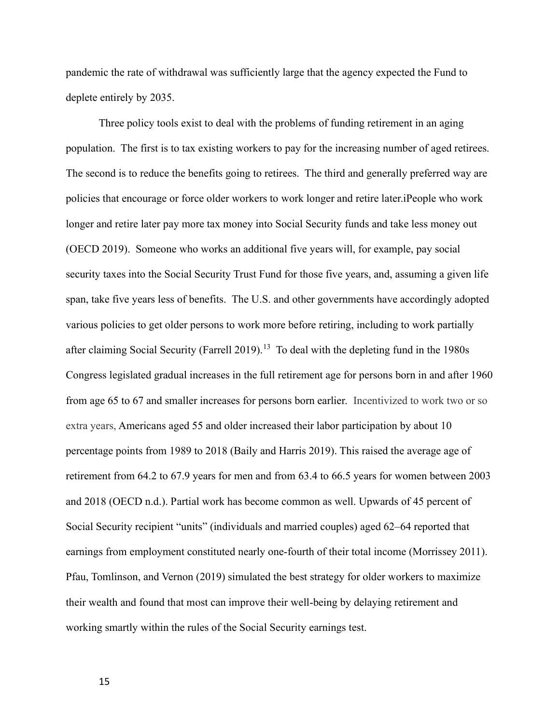pandemic the rate of withdrawal was sufficiently large that the agency expected the Fund to deplete entirely by 2035.

Three policy tools exist to deal with the problems of funding retirement in an aging population. The first is to tax existing workers to pay for the increasing number of aged retirees. The second is to reduce the benefits going to retirees. The third and generally preferred way are policies that encourage or force older workers to work longer and retire later.iPeople who work longer and retire later pay more tax money into Social Security funds and take less money out (OECD 2019). Someone who works an additional five years will, for example, pay social security taxes into the Social Security Trust Fund for those five years, and, assuming a given life span, take five years less of benefits. The U.S. and other governments have accordingly adopted various policies to get older persons to work more before retiring, including to work partially after claiming Social Security (Farrell 2019).<sup>13</sup> To deal with the depleting fund in the 1980s Congress legislated gradual increases in the full retirement age for persons born in and after 1960 from age 65 to 67 and smaller increases for persons born earlier. Incentivized to work two or so extra years, Americans aged 55 and older increased their labor participation by about 10 percentage points from 1989 to 2018 (Baily and Harris 2019). This raised the average age of retirement from 64.2 to 67.9 years for men and from 63.4 to 66.5 years for women between 2003 and 2018 (OECD n.d.). Partial work has become common as well. Upwards of 45 percent of Social Security recipient "units" (individuals and married couples) aged 62–64 reported that earnings from employment constituted nearly one-fourth of their total income (Morrissey 2011). Pfau, Tomlinson, and Vernon (2019) simulated the best strategy for older workers to maximize their wealth and found that most can improve their well-being by delaying retirement and working smartly within the rules of the Social Security earnings test.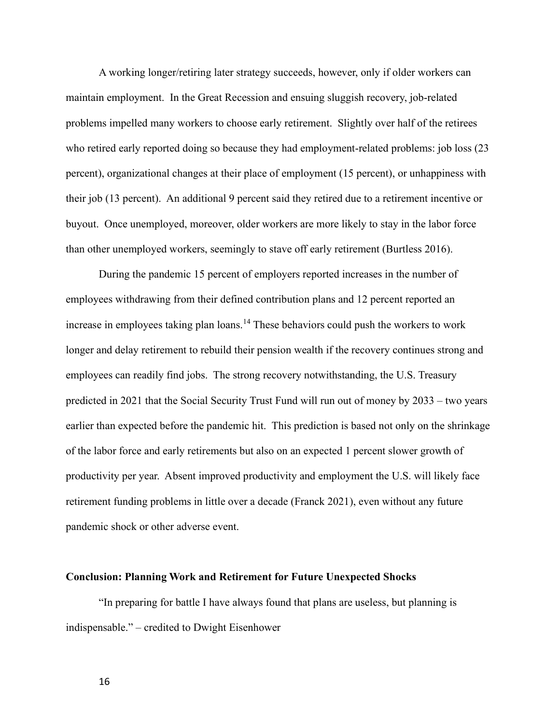A working longer/retiring later strategy succeeds, however, only if older workers can maintain employment. In the Great Recession and ensuing sluggish recovery, job-related problems impelled many workers to choose early retirement. Slightly over half of the retirees who retired early reported doing so because they had employment-related problems: job loss (23 percent), organizational changes at their place of employment (15 percent), or unhappiness with their job (13 percent). An additional 9 percent said they retired due to a retirement incentive or buyout. Once unemployed, moreover, older workers are more likely to stay in the labor force than other unemployed workers, seemingly to stave off early retirement (Burtless 2016).

During the pandemic 15 percent of employers reported increases in the number of employees withdrawing from their defined contribution plans and 12 percent reported an increase in employees taking plan loans.<sup>14</sup> These behaviors could push the workers to work longer and delay retirement to rebuild their pension wealth if the recovery continues strong and employees can readily find jobs. The strong recovery notwithstanding, the U.S. Treasury predicted in 2021 that the Social Security Trust Fund will run out of money by 2033 – two years earlier than expected before the pandemic hit. This prediction is based not only on the shrinkage of the labor force and early retirements but also on an expected 1 percent slower growth of productivity per year. Absent improved productivity and employment the U.S. will likely face retirement funding problems in little over a decade (Franck 2021), even without any future pandemic shock or other adverse event.

#### Conclusion: Planning Work and Retirement for Future Unexpected Shocks

"In preparing for battle I have always found that plans are useless, but planning is indispensable." – credited to Dwight Eisenhower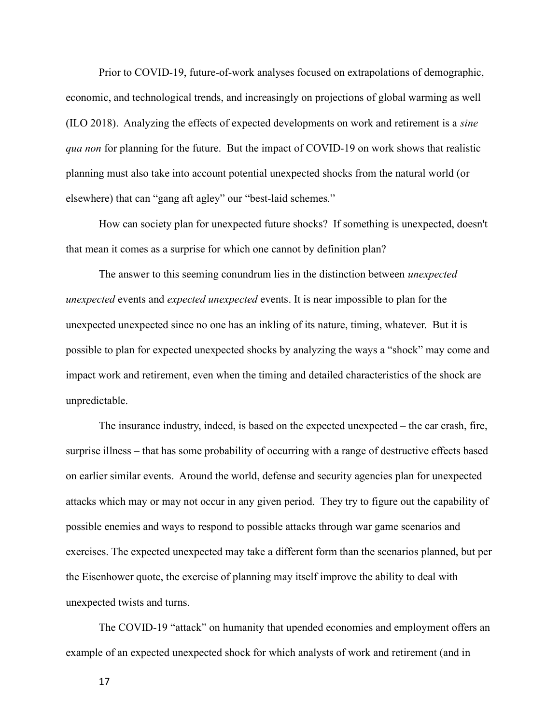Prior to COVID-19, future-of-work analyses focused on extrapolations of demographic, economic, and technological trends, and increasingly on projections of global warming as well (ILO 2018). Analyzing the effects of expected developments on work and retirement is a sine qua non for planning for the future. But the impact of COVID-19 on work shows that realistic planning must also take into account potential unexpected shocks from the natural world (or elsewhere) that can "gang aft agley" our "best-laid schemes."

How can society plan for unexpected future shocks? If something is unexpected, doesn't that mean it comes as a surprise for which one cannot by definition plan?

The answer to this seeming conundrum lies in the distinction between *unexpected* unexpected events and expected unexpected events. It is near impossible to plan for the unexpected unexpected since no one has an inkling of its nature, timing, whatever. But it is possible to plan for expected unexpected shocks by analyzing the ways a "shock" may come and impact work and retirement, even when the timing and detailed characteristics of the shock are unpredictable.

The insurance industry, indeed, is based on the expected unexpected – the car crash, fire, surprise illness – that has some probability of occurring with a range of destructive effects based on earlier similar events. Around the world, defense and security agencies plan for unexpected attacks which may or may not occur in any given period. They try to figure out the capability of possible enemies and ways to respond to possible attacks through war game scenarios and exercises. The expected unexpected may take a different form than the scenarios planned, but per the Eisenhower quote, the exercise of planning may itself improve the ability to deal with unexpected twists and turns.

The COVID-19 "attack" on humanity that upended economies and employment offers an example of an expected unexpected shock for which analysts of work and retirement (and in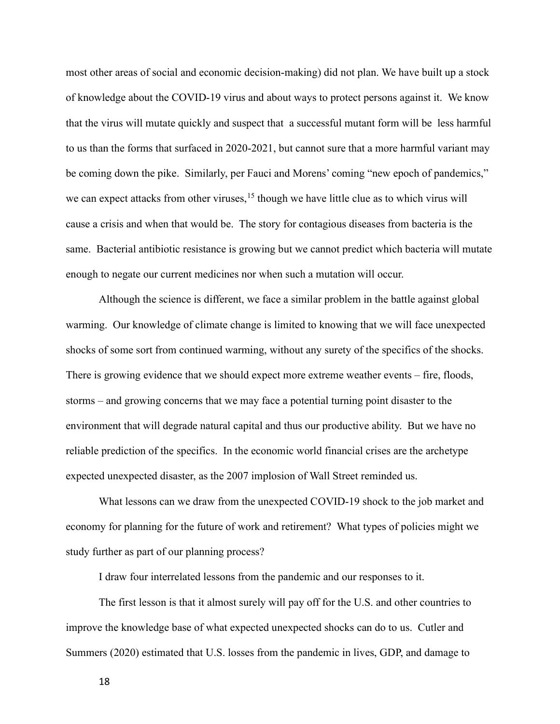most other areas of social and economic decision-making) did not plan. We have built up a stock of knowledge about the COVID-19 virus and about ways to protect persons against it. We know that the virus will mutate quickly and suspect that a successful mutant form will be less harmful to us than the forms that surfaced in 2020-2021, but cannot sure that a more harmful variant may be coming down the pike. Similarly, per Fauci and Morens' coming "new epoch of pandemics," we can expect attacks from other viruses,  $^{15}$  though we have little clue as to which virus will cause a crisis and when that would be. The story for contagious diseases from bacteria is the same. Bacterial antibiotic resistance is growing but we cannot predict which bacteria will mutate enough to negate our current medicines nor when such a mutation will occur.

Although the science is different, we face a similar problem in the battle against global warming. Our knowledge of climate change is limited to knowing that we will face unexpected shocks of some sort from continued warming, without any surety of the specifics of the shocks. There is growing evidence that we should expect more extreme weather events – fire, floods, storms – and growing concerns that we may face a potential turning point disaster to the environment that will degrade natural capital and thus our productive ability. But we have no reliable prediction of the specifics. In the economic world financial crises are the archetype expected unexpected disaster, as the 2007 implosion of Wall Street reminded us.

What lessons can we draw from the unexpected COVID-19 shock to the job market and economy for planning for the future of work and retirement? What types of policies might we study further as part of our planning process?

I draw four interrelated lessons from the pandemic and our responses to it.

The first lesson is that it almost surely will pay off for the U.S. and other countries to improve the knowledge base of what expected unexpected shocks can do to us. Cutler and Summers (2020) estimated that U.S. losses from the pandemic in lives, GDP, and damage to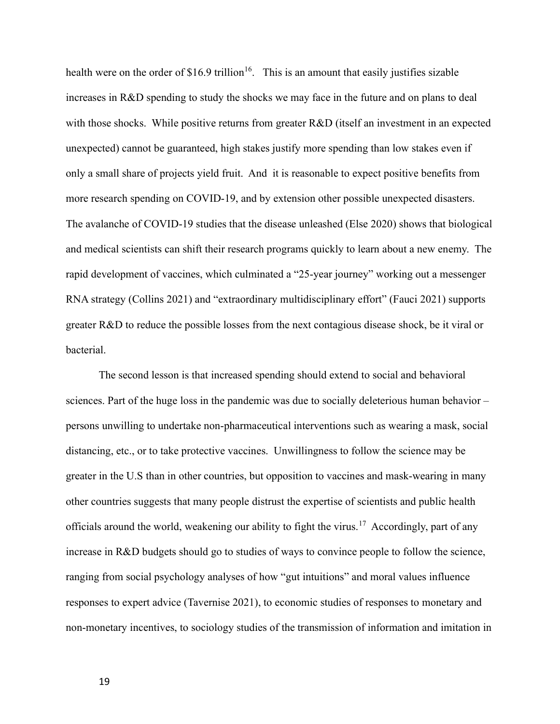health were on the order of \$16.9 trillion<sup>16</sup>. This is an amount that easily justifies sizable increases in R&D spending to study the shocks we may face in the future and on plans to deal with those shocks. While positive returns from greater R&D (itself an investment in an expected unexpected) cannot be guaranteed, high stakes justify more spending than low stakes even if only a small share of projects yield fruit. And it is reasonable to expect positive benefits from more research spending on COVID-19, and by extension other possible unexpected disasters. The avalanche of COVID-19 studies that the disease unleashed (Else 2020) shows that biological and medical scientists can shift their research programs quickly to learn about a new enemy. The rapid development of vaccines, which culminated a "25-year journey" working out a messenger RNA strategy (Collins 2021) and "extraordinary multidisciplinary effort" (Fauci 2021) supports greater R&D to reduce the possible losses from the next contagious disease shock, be it viral or bacterial.

The second lesson is that increased spending should extend to social and behavioral sciences. Part of the huge loss in the pandemic was due to socially deleterious human behavior – persons unwilling to undertake non-pharmaceutical interventions such as wearing a mask, social distancing, etc., or to take protective vaccines. Unwillingness to follow the science may be greater in the U.S than in other countries, but opposition to vaccines and mask-wearing in many other countries suggests that many people distrust the expertise of scientists and public health officials around the world, weakening our ability to fight the virus.<sup>17</sup> Accordingly, part of any increase in R&D budgets should go to studies of ways to convince people to follow the science, ranging from social psychology analyses of how "gut intuitions" and moral values influence responses to expert advice (Tavernise 2021), to economic studies of responses to monetary and non-monetary incentives, to sociology studies of the transmission of information and imitation in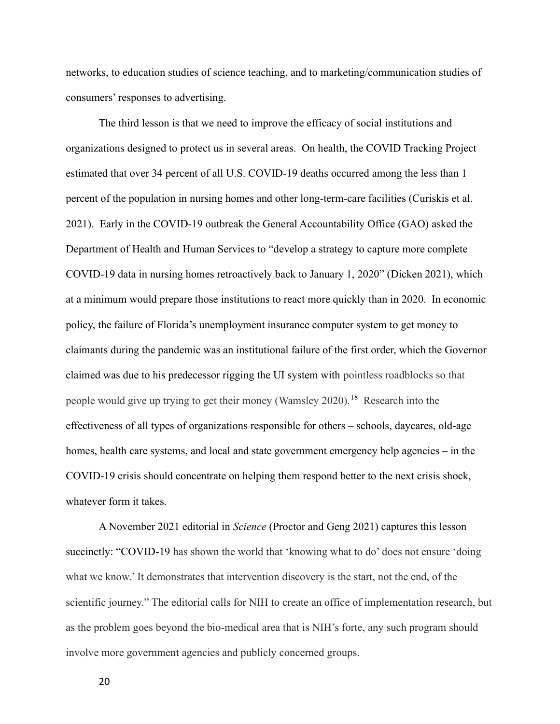networks, to education studies of science teaching, and to marketing/communication studies of consumers' responses to advertising.

The third lesson is that we need to improve the efficacy of social institutions and organizations designed to protect us in several areas. On health, the COVID Tracking Project estimated that over 34 percent of all U.S. COVID-19 deaths occurred among the less than 1 percent of the population in nursing homes and other long-term-care facilities (Curiskis et al. 2021). Early in the COVID-19 outbreak the General Accountability Office (GAO) asked the Department of Health and Human Services to "develop a strategy to capture more complete COVID-19 data in nursing homes retroactively back to January 1, 2020" (Dicken 2021), which at a minimum would prepare those institutions to react more quickly than in 2020. In economic policy, the failure of Florida's unemployment insurance computer system to get money to claimants during the pandemic was an institutional failure of the first order, which the Governor claimed was due to his predecessor rigging the UI system with pointless roadblocks so that people would give up trying to get their money (Wamsley 2020).<sup>18</sup> Research into the effectiveness of all types of organizations responsible for others – schools, daycares, old-age homes, health care systems, and local and state government emergency help agencies – in the COVID-19 crisis should concentrate on helping them respond better to the next crisis shock, whatever form it takes.

A November 2021 editorial in Science (Proctor and Geng 2021) captures this lesson succinctly: "COVID-19 has shown the world that 'knowing what to do' does not ensure 'doing what we know.' It demonstrates that intervention discovery is the start, not the end, of the scientific journey." The editorial calls for NIH to create an office of implementation research, but as the problem goes beyond the bio-medical area that is NIH's forte, any such program should involve more government agencies and publicly concerned groups.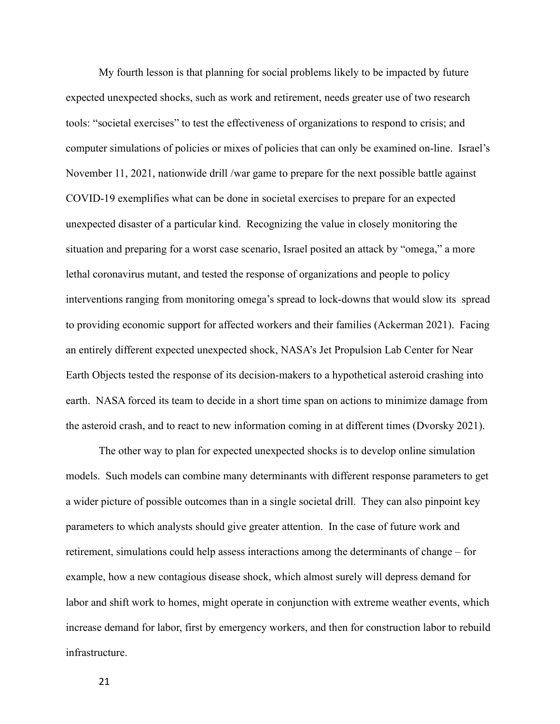My fourth lesson is that planning for social problems likely to be impacted by future expected unexpected shocks, such as work and retirement, needs greater use of two research tools: "societal exercises" to test the effectiveness of organizations to respond to crisis; and computer simulations of policies or mixes of policies that can only be examined on-line. Israel's November 11, 2021, nationwide drill /war game to prepare for the next possible battle against COVID-19 exemplifies what can be done in societal exercises to prepare for an expected unexpected disaster of a particular kind. Recognizing the value in closely monitoring the situation and preparing for a worst case scenario, Israel posited an attack by "omega," a more lethal coronavirus mutant, and tested the response of organizations and people to policy interventions ranging from monitoring omega's spread to lock-downs that would slow its spread to providing economic support for affected workers and their families (Ackerman 2021). Facing an entirely different expected unexpected shock, NASA's Jet Propulsion Lab Center for Near Earth Objects tested the response of its decision-makers to a hypothetical asteroid crashing into earth. NASA forced its team to decide in a short time span on actions to minimize damage from the asteroid crash, and to react to new information coming in at different times (Dvorsky 2021).

The other way to plan for expected unexpected shocks is to develop online simulation models. Such models can combine many determinants with different response parameters to get a wider picture of possible outcomes than in a single societal drill. They can also pinpoint key parameters to which analysts should give greater attention. In the case of future work and retirement, simulations could help assess interactions among the determinants of change – for example, how a new contagious disease shock, which almost surely will depress demand for labor and shift work to homes, might operate in conjunction with extreme weather events, which increase demand for labor, first by emergency workers, and then for construction labor to rebuild infrastructure.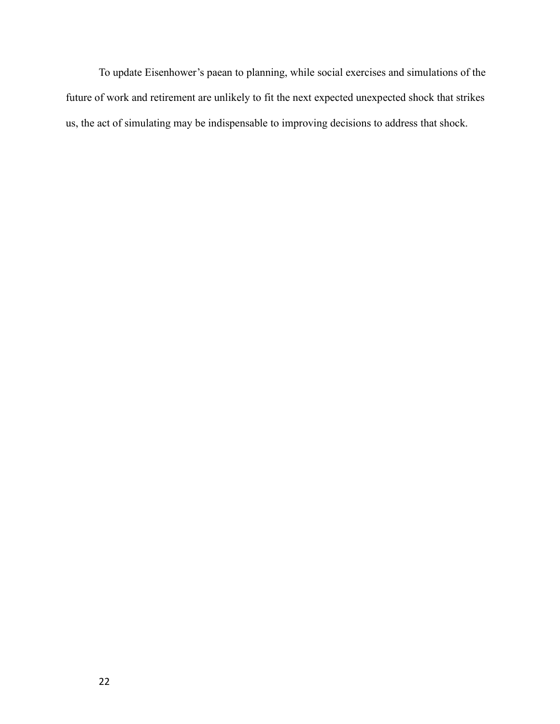To update Eisenhower's paean to planning, while social exercises and simulations of the future of work and retirement are unlikely to fit the next expected unexpected shock that strikes us, the act of simulating may be indispensable to improving decisions to address that shock.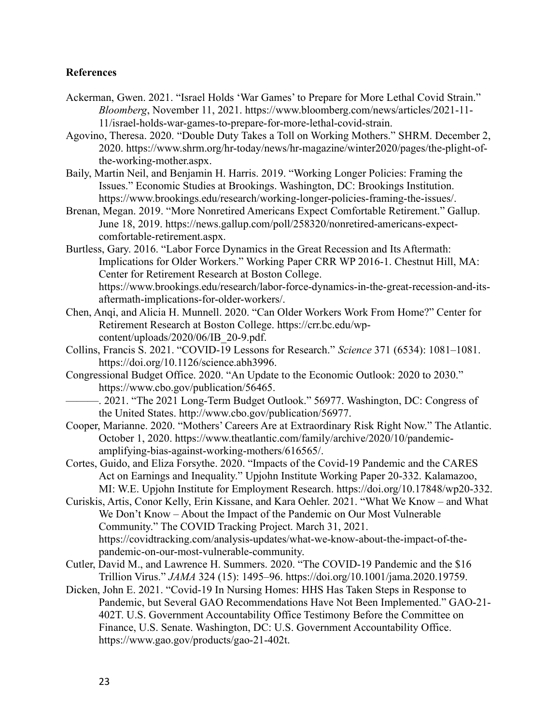# References

- Ackerman, Gwen. 2021. "Israel Holds 'War Games' to Prepare for More Lethal Covid Strain." Bloomberg, November 11, 2021. https://www.bloomberg.com/news/articles/2021-11- 11/israel-holds-war-games-to-prepare-for-more-lethal-covid-strain.
- Agovino, Theresa. 2020. "Double Duty Takes a Toll on Working Mothers." SHRM. December 2, 2020. https://www.shrm.org/hr-today/news/hr-magazine/winter2020/pages/the-plight-ofthe-working-mother.aspx.
- Baily, Martin Neil, and Benjamin H. Harris. 2019. "Working Longer Policies: Framing the Issues." Economic Studies at Brookings. Washington, DC: Brookings Institution. https://www.brookings.edu/research/working-longer-policies-framing-the-issues/.
- Brenan, Megan. 2019. "More Nonretired Americans Expect Comfortable Retirement." Gallup. June 18, 2019. https://news.gallup.com/poll/258320/nonretired-americans-expectcomfortable-retirement.aspx.
- Burtless, Gary. 2016. "Labor Force Dynamics in the Great Recession and Its Aftermath: Implications for Older Workers." Working Paper CRR WP 2016-1. Chestnut Hill, MA: Center for Retirement Research at Boston College. https://www.brookings.edu/research/labor-force-dynamics-in-the-great-recession-and-itsaftermath-implications-for-older-workers/.
- Chen, Anqi, and Alicia H. Munnell. 2020. "Can Older Workers Work From Home?" Center for Retirement Research at Boston College. https://crr.bc.edu/wpcontent/uploads/2020/06/IB\_20-9.pdf.
- Collins, Francis S. 2021. "COVID-19 Lessons for Research." Science 371 (6534): 1081–1081. https://doi.org/10.1126/science.abh3996.
- Congressional Budget Office. 2020. "An Update to the Economic Outlook: 2020 to 2030." https://www.cbo.gov/publication/56465.
	- ———. 2021. "The 2021 Long-Term Budget Outlook." 56977. Washington, DC: Congress of the United States. http://www.cbo.gov/publication/56977.
- Cooper, Marianne. 2020. "Mothers' Careers Are at Extraordinary Risk Right Now." The Atlantic. October 1, 2020. https://www.theatlantic.com/family/archive/2020/10/pandemicamplifying-bias-against-working-mothers/616565/.
- Cortes, Guido, and Eliza Forsythe. 2020. "Impacts of the Covid-19 Pandemic and the CARES Act on Earnings and Inequality." Upjohn Institute Working Paper 20-332. Kalamazoo, MI: W.E. Upjohn Institute for Employment Research. https://doi.org/10.17848/wp20-332.
- Curiskis, Artis, Conor Kelly, Erin Kissane, and Kara Oehler. 2021. "What We Know and What We Don't Know – About the Impact of the Pandemic on Our Most Vulnerable Community." The COVID Tracking Project. March 31, 2021. https://covidtracking.com/analysis-updates/what-we-know-about-the-impact-of-thepandemic-on-our-most-vulnerable-community.
- Cutler, David M., and Lawrence H. Summers. 2020. "The COVID-19 Pandemic and the \$16 Trillion Virus." JAMA 324 (15): 1495–96. https://doi.org/10.1001/jama.2020.19759.
- Dicken, John E. 2021. "Covid-19 In Nursing Homes: HHS Has Taken Steps in Response to Pandemic, but Several GAO Recommendations Have Not Been Implemented." GAO-21- 402T. U.S. Government Accountability Office Testimony Before the Committee on Finance, U.S. Senate. Washington, DC: U.S. Government Accountability Office. https://www.gao.gov/products/gao-21-402t.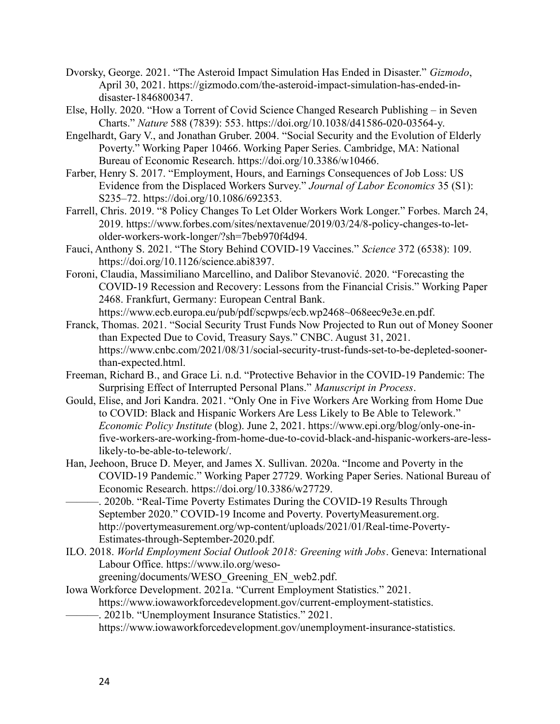- Dvorsky, George. 2021. "The Asteroid Impact Simulation Has Ended in Disaster." Gizmodo, April 30, 2021. https://gizmodo.com/the-asteroid-impact-simulation-has-ended-indisaster-1846800347.
- Else, Holly. 2020. "How a Torrent of Covid Science Changed Research Publishing in Seven Charts." Nature 588 (7839): 553. https://doi.org/10.1038/d41586-020-03564-y.
- Engelhardt, Gary V., and Jonathan Gruber. 2004. "Social Security and the Evolution of Elderly Poverty." Working Paper 10466. Working Paper Series. Cambridge, MA: National Bureau of Economic Research. https://doi.org/10.3386/w10466.
- Farber, Henry S. 2017. "Employment, Hours, and Earnings Consequences of Job Loss: US Evidence from the Displaced Workers Survey." Journal of Labor Economics 35 (S1): S235–72. https://doi.org/10.1086/692353.
- Farrell, Chris. 2019. "8 Policy Changes To Let Older Workers Work Longer." Forbes. March 24, 2019. https://www.forbes.com/sites/nextavenue/2019/03/24/8-policy-changes-to-letolder-workers-work-longer/?sh=7beb970f4d94.
- Fauci, Anthony S. 2021. "The Story Behind COVID-19 Vaccines." Science 372 (6538): 109. https://doi.org/10.1126/science.abi8397.
- Foroni, Claudia, Massimiliano Marcellino, and Dalibor Stevanović. 2020. "Forecasting the COVID-19 Recession and Recovery: Lessons from the Financial Crisis." Working Paper 2468. Frankfurt, Germany: European Central Bank. https://www.ecb.europa.eu/pub/pdf/scpwps/ecb.wp2468~068eec9e3e.en.pdf.
- Franck, Thomas. 2021. "Social Security Trust Funds Now Projected to Run out of Money Sooner than Expected Due to Covid, Treasury Says." CNBC. August 31, 2021. https://www.cnbc.com/2021/08/31/social-security-trust-funds-set-to-be-depleted-soonerthan-expected.html.
- Freeman, Richard B., and Grace Li. n.d. "Protective Behavior in the COVID-19 Pandemic: The Surprising Effect of Interrupted Personal Plans." Manuscript in Process.
- Gould, Elise, and Jori Kandra. 2021. "Only One in Five Workers Are Working from Home Due to COVID: Black and Hispanic Workers Are Less Likely to Be Able to Telework." Economic Policy Institute (blog). June 2, 2021. https://www.epi.org/blog/only-one-infive-workers-are-working-from-home-due-to-covid-black-and-hispanic-workers-are-lesslikely-to-be-able-to-telework/.
- Han, Jeehoon, Bruce D. Meyer, and James X. Sullivan. 2020a. "Income and Poverty in the COVID-19 Pandemic." Working Paper 27729. Working Paper Series. National Bureau of Economic Research. https://doi.org/10.3386/w27729.
- -. 2020b. "Real-Time Poverty Estimates During the COVID-19 Results Through September 2020." COVID-19 Income and Poverty. PovertyMeasurement.org. http://povertymeasurement.org/wp-content/uploads/2021/01/Real-time-Poverty-Estimates-through-September-2020.pdf.
- ILO. 2018. World Employment Social Outlook 2018: Greening with Jobs. Geneva: International Labour Office. https://www.ilo.org/weso
	- greening/documents/WESO\_Greening\_EN\_web2.pdf.
- Iowa Workforce Development. 2021a. "Current Employment Statistics." 2021. https://www.iowaworkforcedevelopment.gov/current-employment-statistics.
	- -. 2021b. "Unemployment Insurance Statistics." 2021.
		- https://www.iowaworkforcedevelopment.gov/unemployment-insurance-statistics.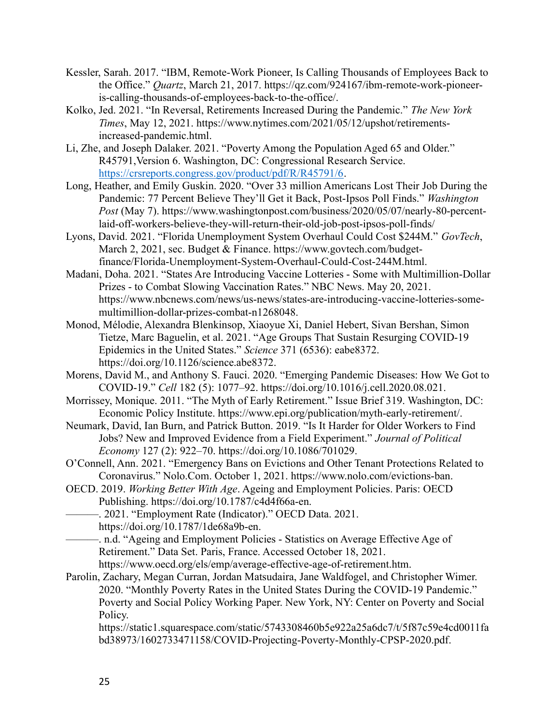- Kessler, Sarah. 2017. "IBM, Remote-Work Pioneer, Is Calling Thousands of Employees Back to the Office." Quartz, March 21, 2017. https://qz.com/924167/ibm-remote-work-pioneeris-calling-thousands-of-employees-back-to-the-office/.
- Kolko, Jed. 2021. "In Reversal, Retirements Increased During the Pandemic." The New York Times, May 12, 2021. https://www.nytimes.com/2021/05/12/upshot/retirementsincreased-pandemic.html.
- Li, Zhe, and Joseph Dalaker. 2021. "Poverty Among the Population Aged 65 and Older." R45791,Version 6. Washington, DC: Congressional Research Service. https://crsreports.congress.gov/product/pdf/R/R45791/6.
- Long, Heather, and Emily Guskin. 2020. "Over 33 million Americans Lost Their Job During the Pandemic: 77 Percent Believe They'll Get it Back, Post-Ipsos Poll Finds." Washington Post (May 7). https://www.washingtonpost.com/business/2020/05/07/nearly-80-percentlaid-off-workers-believe-they-will-return-their-old-job-post-ipsos-poll-finds/
- Lyons, David. 2021. "Florida Unemployment System Overhaul Could Cost \$244M." GovTech, March 2, 2021, sec. Budget & Finance. https://www.govtech.com/budgetfinance/Florida-Unemployment-System-Overhaul-Could-Cost-244M.html.
- Madani, Doha. 2021. "States Are Introducing Vaccine Lotteries Some with Multimillion-Dollar Prizes - to Combat Slowing Vaccination Rates." NBC News. May 20, 2021. https://www.nbcnews.com/news/us-news/states-are-introducing-vaccine-lotteries-somemultimillion-dollar-prizes-combat-n1268048.
- Monod, Mélodie, Alexandra Blenkinsop, Xiaoyue Xi, Daniel Hebert, Sivan Bershan, Simon Tietze, Marc Baguelin, et al. 2021. "Age Groups That Sustain Resurging COVID-19 Epidemics in the United States." Science 371 (6536): eabe8372. https://doi.org/10.1126/science.abe8372.
- Morens, David M., and Anthony S. Fauci. 2020. "Emerging Pandemic Diseases: How We Got to COVID-19." Cell 182 (5): 1077–92. https://doi.org/10.1016/j.cell.2020.08.021.
- Morrissey, Monique. 2011. "The Myth of Early Retirement." Issue Brief 319. Washington, DC: Economic Policy Institute. https://www.epi.org/publication/myth-early-retirement/.
- Neumark, David, Ian Burn, and Patrick Button. 2019. "Is It Harder for Older Workers to Find Jobs? New and Improved Evidence from a Field Experiment." Journal of Political Economy 127 (2): 922–70. https://doi.org/10.1086/701029.
- O'Connell, Ann. 2021. "Emergency Bans on Evictions and Other Tenant Protections Related to Coronavirus." Nolo.Com. October 1, 2021. https://www.nolo.com/evictions-ban.
- OECD. 2019. Working Better With Age. Ageing and Employment Policies. Paris: OECD Publishing. https://doi.org/10.1787/c4d4f66a-en.
- ———. 2021. "Employment Rate (Indicator)." OECD Data. 2021.
	- https://doi.org/10.1787/1de68a9b-en.
	- -. n.d. "Ageing and Employment Policies Statistics on Average Effective Age of Retirement." Data Set. Paris, France. Accessed October 18, 2021.
		- https://www.oecd.org/els/emp/average-effective-age-of-retirement.htm.
- Parolin, Zachary, Megan Curran, Jordan Matsudaira, Jane Waldfogel, and Christopher Wimer. 2020. "Monthly Poverty Rates in the United States During the COVID-19 Pandemic." Poverty and Social Policy Working Paper. New York, NY: Center on Poverty and Social Policy.

https://static1.squarespace.com/static/5743308460b5e922a25a6dc7/t/5f87c59e4cd0011fa bd38973/1602733471158/COVID-Projecting-Poverty-Monthly-CPSP-2020.pdf.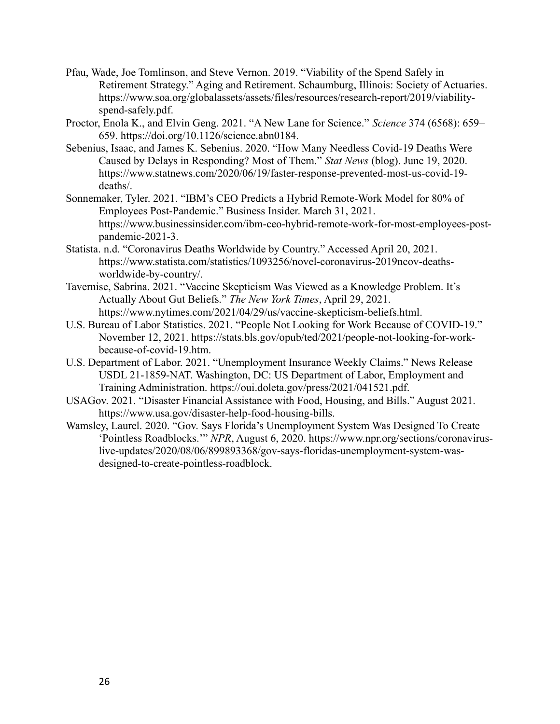- Pfau, Wade, Joe Tomlinson, and Steve Vernon. 2019. "Viability of the Spend Safely in Retirement Strategy." Aging and Retirement. Schaumburg, Illinois: Society of Actuaries. https://www.soa.org/globalassets/assets/files/resources/research-report/2019/viabilityspend-safely.pdf.
- Proctor, Enola K., and Elvin Geng. 2021. "A New Lane for Science." Science 374 (6568): 659– 659. https://doi.org/10.1126/science.abn0184.
- Sebenius, Isaac, and James K. Sebenius. 2020. "How Many Needless Covid-19 Deaths Were Caused by Delays in Responding? Most of Them." Stat News (blog). June 19, 2020. https://www.statnews.com/2020/06/19/faster-response-prevented-most-us-covid-19 deaths/.
- Sonnemaker, Tyler. 2021. "IBM's CEO Predicts a Hybrid Remote-Work Model for 80% of Employees Post-Pandemic." Business Insider. March 31, 2021. https://www.businessinsider.com/ibm-ceo-hybrid-remote-work-for-most-employees-postpandemic-2021-3.
- Statista. n.d. "Coronavirus Deaths Worldwide by Country." Accessed April 20, 2021. https://www.statista.com/statistics/1093256/novel-coronavirus-2019ncov-deathsworldwide-by-country/.
- Tavernise, Sabrina. 2021. "Vaccine Skepticism Was Viewed as a Knowledge Problem. It's Actually About Gut Beliefs." The New York Times, April 29, 2021. https://www.nytimes.com/2021/04/29/us/vaccine-skepticism-beliefs.html.
- U.S. Bureau of Labor Statistics. 2021. "People Not Looking for Work Because of COVID-19." November 12, 2021. https://stats.bls.gov/opub/ted/2021/people-not-looking-for-workbecause-of-covid-19.htm.
- U.S. Department of Labor. 2021. "Unemployment Insurance Weekly Claims." News Release USDL 21-1859-NAT. Washington, DC: US Department of Labor, Employment and Training Administration. https://oui.doleta.gov/press/2021/041521.pdf.
- USAGov. 2021. "Disaster Financial Assistance with Food, Housing, and Bills." August 2021. https://www.usa.gov/disaster-help-food-housing-bills.
- Wamsley, Laurel. 2020. "Gov. Says Florida's Unemployment System Was Designed To Create 'Pointless Roadblocks.'" NPR, August 6, 2020. https://www.npr.org/sections/coronaviruslive-updates/2020/08/06/899893368/gov-says-floridas-unemployment-system-wasdesigned-to-create-pointless-roadblock.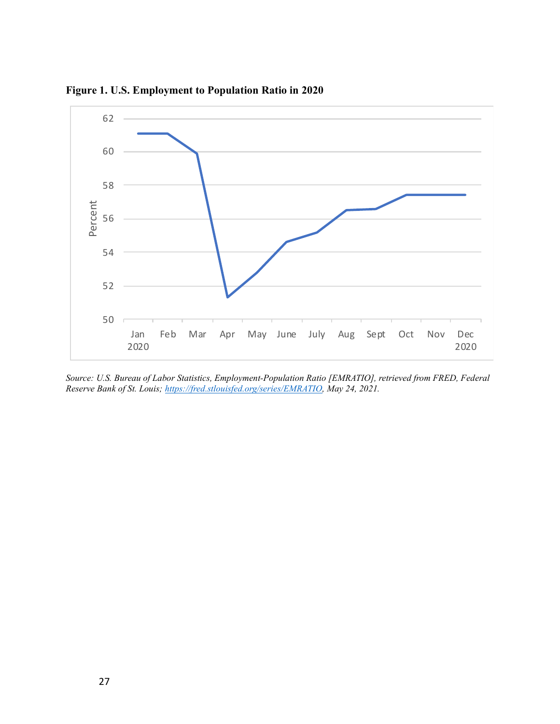

Figure 1. U.S. Employment to Population Ratio in 2020

Source: U.S. Bureau of Labor Statistics, Employment-Population Ratio [EMRATIO], retrieved from FRED, Federal Reserve Bank of St. Louis; https://fred.stlouisfed.org/series/EMRATIO, May 24, 2021.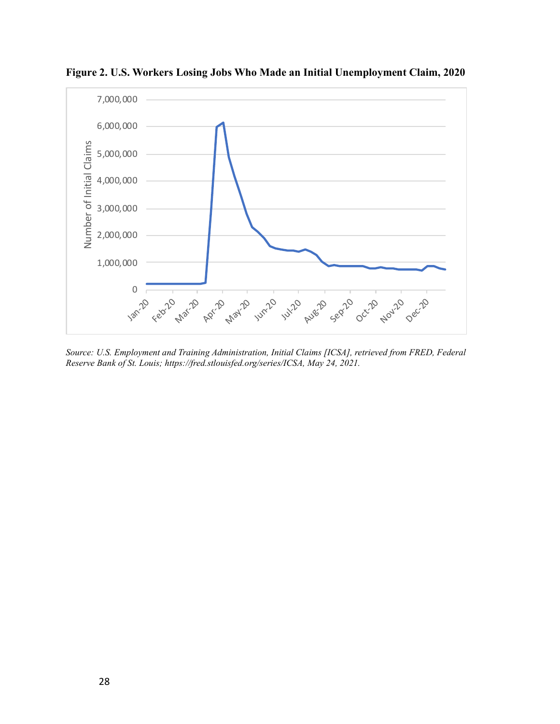

Figure 2. U.S. Workers Losing Jobs Who Made an Initial Unemployment Claim, 2020

Source: U.S. Employment and Training Administration, Initial Claims [ICSA], retrieved from FRED, Federal Reserve Bank of St. Louis; https://fred.stlouisfed.org/series/ICSA, May 24, 2021.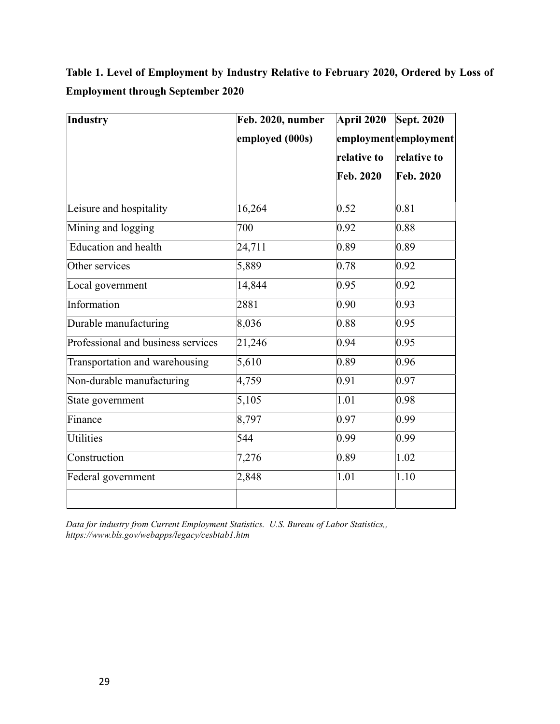Table 1. Level of Employment by Industry Relative to February 2020, Ordered by Loss of Employment through September 2020

| Industry                           | Feb. 2020, number | <b>April 2020</b> | <b>Sept. 2020</b>    |
|------------------------------------|-------------------|-------------------|----------------------|
|                                    | employed (000s)   |                   | employmentemployment |
|                                    |                   | relative to       | relative to          |
|                                    |                   | Feb. 2020         | <b>Feb. 2020</b>     |
| Leisure and hospitality            | 16,264            | 0.52              | 0.81                 |
| Mining and logging                 | 700               | 0.92              | 0.88                 |
| <b>Education and health</b>        | 24,711            | 0.89              | 0.89                 |
| Other services                     | 5,889             | 0.78              | 0.92                 |
| Local government                   | 14,844            | 0.95              | 0.92                 |
| Information                        | 2881              | 0.90              | 0.93                 |
| Durable manufacturing              | 8,036             | 0.88              | 0.95                 |
| Professional and business services | 21,246            | 0.94              | 0.95                 |
| Transportation and warehousing     | 5,610             | 0.89              | 0.96                 |
| Non-durable manufacturing          | 4,759             | 0.91              | 0.97                 |
| State government                   | 5,105             | 1.01              | 0.98                 |
| Finance                            | 8,797             | 0.97              | 0.99                 |
| Utilities                          | 544               | 0.99              | 0.99                 |
| Construction                       | 7,276             | 0.89              | 1.02                 |
| Federal government                 | 2,848             | 1.01              | 1.10                 |
|                                    |                   |                   |                      |

Data for industry from Current Employment Statistics. U.S. Bureau of Labor Statistics,, https://www.bls.gov/webapps/legacy/cesbtab1.htm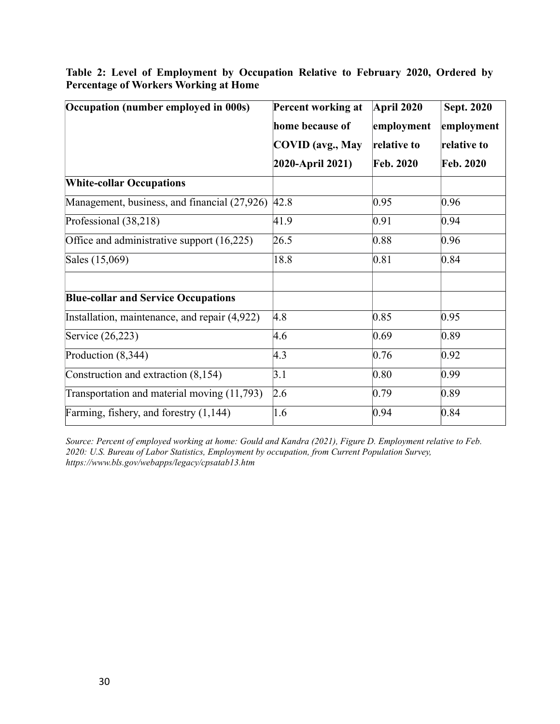| Occupation (number employed in 000s)          | Percent working at      | April 2020       | <b>Sept. 2020</b> |  |
|-----------------------------------------------|-------------------------|------------------|-------------------|--|
|                                               | home because of         | employment       | employment        |  |
|                                               | <b>COVID</b> (avg., May | relative to      | relative to       |  |
|                                               | 2020-April 2021)        | <b>Feb. 2020</b> | Feb. 2020         |  |
| <b>White-collar Occupations</b>               |                         |                  |                   |  |
| Management, business, and financial (27,926)  | 42.8                    | 0.95             | 0.96              |  |
| Professional (38,218)                         | 41.9                    | 0.91             | 0.94              |  |
| Office and administrative support (16,225)    | 26.5                    | 0.88             | 0.96              |  |
| Sales (15,069)                                | 18.8                    | 0.81             | 0.84              |  |
| <b>Blue-collar and Service Occupations</b>    |                         |                  |                   |  |
| Installation, maintenance, and repair (4,922) | 4.8                     | 0.85             | 0.95              |  |
| Service (26,223)                              | 4.6                     | 0.69             | 0.89              |  |
| Production (8,344)                            | 4.3                     | 0.76             | 0.92              |  |
| Construction and extraction (8,154)           | 3.1                     | 0.80             | 0.99              |  |
| Transportation and material moving (11,793)   | 2.6                     | 0.79             | 0.89              |  |
| Farming, fishery, and forestry (1,144)        | 1.6                     | 0.94             | 0.84              |  |

Table 2: Level of Employment by Occupation Relative to February 2020, Ordered by Percentage of Workers Working at Home

Source: Percent of employed working at home: Gould and Kandra (2021), Figure D. Employment relative to Feb. 2020: U.S. Bureau of Labor Statistics, Employment by occupation, from Current Population Survey, https://www.bls.gov/webapps/legacy/cpsatab13.htm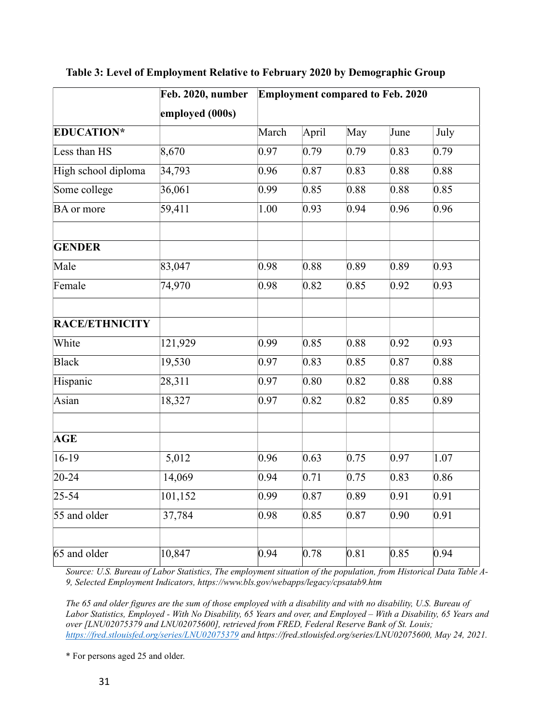|                     | Feb. 2020, number<br>employed (000s) | <b>Employment compared to Feb. 2020</b> |       |                   |                   |      |
|---------------------|--------------------------------------|-----------------------------------------|-------|-------------------|-------------------|------|
| <b>EDUCATION*</b>   |                                      | March                                   | April | May               | June              | July |
| Less than HS        | 8,670                                | 0.97                                    | 0.79  | 0.79              | 0.83              | 0.79 |
| High school diploma | 34,793                               | 0.96                                    | 0.87  | 0.83              | 0.88              | 0.88 |
| Some college        | 36,061                               | 0.99                                    | 0.85  | 0.88              | 0.88              | 0.85 |
| BA or more          | 59,411                               | 1.00                                    | 0.93  | 0.94              | 0.96              | 0.96 |
| <b>GENDER</b>       |                                      |                                         |       |                   |                   |      |
| Male                | 83,047                               | 0.98                                    | 0.88  | 0.89              | 0.89              | 0.93 |
| Female              | 74,970                               | 0.98                                    | 0.82  | 0.85              | 0.92              | 0.93 |
| RACE/ETHNICITY      |                                      |                                         |       |                   |                   |      |
| White               | 121,929                              | 0.99                                    | 0.85  | 0.88              | 0.92              | 0.93 |
| <b>Black</b>        | 19,530                               | 0.97                                    | 0.83  | 0.85              | 0.87              | 0.88 |
| Hispanic            | 28,311                               | 0.97                                    | 0.80  | 0.82              | 0.88              | 0.88 |
| Asian               | 18,327                               | 0.97                                    | 0.82  | 0.82              | 0.85              | 0.89 |
| <b>AGE</b>          |                                      |                                         |       |                   |                   |      |
| $16-19$             | 5,012                                | 0.96                                    | 0.63  | 0.75              | 0.97              | 1.07 |
| $20 - 24$           | 14,069                               | 0.94                                    | 0.71  | 0.75              | 0.83              | 0.86 |
| $25 - 54$           | 101,152                              | 0.99                                    | 0.87  | $\overline{0.89}$ | $\overline{0.91}$ | 0.91 |
| 55 and older        | 37,784                               | 0.98                                    | 0.85  | 0.87              | 0.90              | 0.91 |
| 65 and older        | 10,847                               | 0.94                                    | 0.78  | 0.81              | 0.85              | 0.94 |

Table 3: Level of Employment Relative to February 2020 by Demographic Group

Source: U.S. Bureau of Labor Statistics, The employment situation of the population, from Historical Data Table A-9, Selected Employment Indicators, https://www.bls.gov/webapps/legacy/cpsatab9.htm

The 65 and older figures are the sum of those employed with a disability and with no disability, U.S. Bureau of Labor Statistics, Employed - With No Disability, 65 Years and over, and Employed – With a Disability, 65 Years and over [LNU02075379 and LNU02075600], retrieved from FRED, Federal Reserve Bank of St. Louis; https://fred.stlouisfed.org/series/LNU02075379 and https://fred.stlouisfed.org/series/LNU02075600, May 24, 2021.

\* For persons aged 25 and older.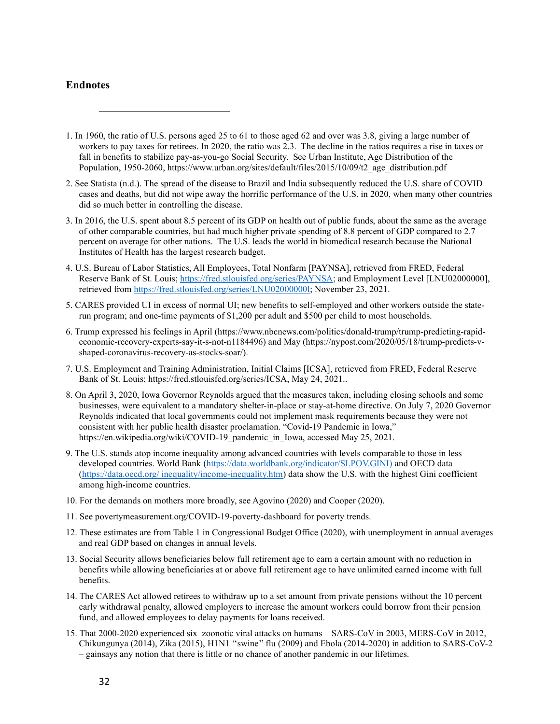## **Endnotes**

- 1. In 1960, the ratio of U.S. persons aged 25 to 61 to those aged 62 and over was 3.8, giving a large number of workers to pay taxes for retirees. In 2020, the ratio was 2.3. The decline in the ratios requires a rise in taxes or fall in benefits to stabilize pay-as-you-go Social Security. See Urban Institute, Age Distribution of the Population, 1950-2060, https://www.urban.org/sites/default/files/2015/10/09/t2\_age\_distribution.pdf
- 2. See Statista (n.d.). The spread of the disease to Brazil and India subsequently reduced the U.S. share of COVID cases and deaths, but did not wipe away the horrific performance of the U.S. in 2020, when many other countries did so much better in controlling the disease.
- 3. In 2016, the U.S. spent about 8.5 percent of its GDP on health out of public funds, about the same as the average of other comparable countries, but had much higher private spending of 8.8 percent of GDP compared to 2.7 percent on average for other nations. The U.S. leads the world in biomedical research because the National Institutes of Health has the largest research budget.
- 4. U.S. Bureau of Labor Statistics, All Employees, Total Nonfarm [PAYNSA], retrieved from FRED, Federal Reserve Bank of St. Louis; https://fred.stlouisfed.org/series/PAYNSA; and Employment Level [LNU02000000], retrieved from https://fred.stlouisfed.org/series/LNU02000000l; November 23, 2021.
- 5. CARES provided UI in excess of normal UI; new benefits to self-employed and other workers outside the staterun program; and one-time payments of \$1,200 per adult and \$500 per child to most households.
- 6. Trump expressed his feelings in April (https://www.nbcnews.com/politics/donald-trump/trump-predicting-rapideconomic-recovery-experts-say-it-s-not-n1184496) and May (https://nypost.com/2020/05/18/trump-predicts-vshaped-coronavirus-recovery-as-stocks-soar/).
- 7. U.S. Employment and Training Administration, Initial Claims [ICSA], retrieved from FRED, Federal Reserve Bank of St. Louis; https://fred.stlouisfed.org/series/ICSA, May 24, 2021..
- 8. On April 3, 2020, Iowa Governor Reynolds argued that the measures taken, including closing schools and some businesses, were equivalent to a mandatory shelter-in-place or stay-at-home directive. On July 7, 2020 Governor Reynolds indicated that local governments could not implement mask requirements because they were not consistent with her public health disaster proclamation. "Covid-19 Pandemic in Iowa," https://en.wikipedia.org/wiki/COVID-19\_pandemic\_in\_Iowa, accessed May 25, 2021.
- 9. The U.S. stands atop income inequality among advanced countries with levels comparable to those in less developed countries. World Bank (https://data.worldbank.org/indicator/SI.POV.GINI) and OECD data (https://data.oecd.org/ inequality/income-inequality.htm) data show the U.S. with the highest Gini coefficient among high-income countries.
- 10. For the demands on mothers more broadly, see Agovino (2020) and Cooper (2020).
- 11. See povertymeasurement.org/COVID-19-poverty-dashboard for poverty trends.
- 12. These estimates are from Table 1 in Congressional Budget Office (2020), with unemployment in annual averages and real GDP based on changes in annual levels.
- 13. Social Security allows beneficiaries below full retirement age to earn a certain amount with no reduction in benefits while allowing beneficiaries at or above full retirement age to have unlimited earned income with full benefits.
- 14. The CARES Act allowed retirees to withdraw up to a set amount from private pensions without the 10 percent early withdrawal penalty, allowed employers to increase the amount workers could borrow from their pension fund, and allowed employees to delay payments for loans received.
- 15. That 2000-2020 experienced six zoonotic viral attacks on humans SARS-CoV in 2003, MERS-CoV in 2012, Chikungunya (2014), Zika (2015), H1N1 ''swine'' flu (2009) and Ebola (2014-2020) in addition to SARS-CoV-2 – gainsays any notion that there is little or no chance of another pandemic in our lifetimes.